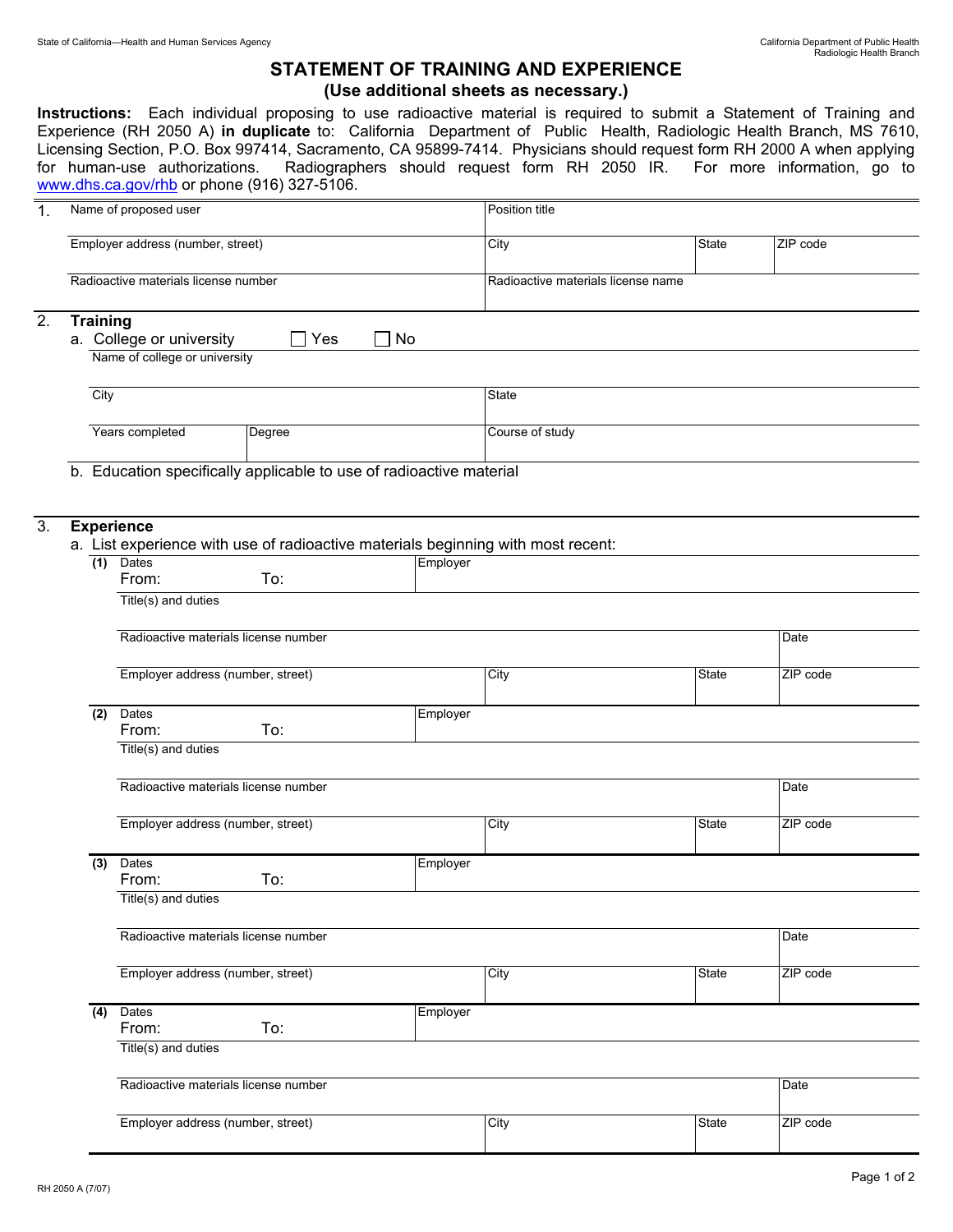## **STATEMENT OF TRAINING AND EXPERIENCE (Use additional sheets as necessary.)**

**Instructions:** Each individual proposing to use radioactive material is required to submit a Statement of Training and Experience (RH 2050 A) **in duplicate** to: California Department of Public Health, Radiologic Health Branch, MS 7610, Licensing Section, P.O. Box 997414, Sacramento, CA 95899-7414. Physicians should request form RH 2000 A when applying for human-use authorizations. Radiographers should request form RH 2050 IR. For more information, go to Radiographers should request form RH 2050 IR. For more information, go to www.dhs.ca.gov/rhb or phone (916) 327-5106.

| Name of proposed user<br>Position title<br>Employer address (number, street)<br><b>State</b><br>City<br>Radioactive materials license number<br>Radioactive materials license name<br><b>Training</b><br>a. College or university<br>Yes<br>No<br>Name of college or university<br>City<br>State<br>Years completed<br>Course of study<br>Degree<br>b. Education specifically applicable to use of radioactive material<br><b>Experience</b><br>a. List experience with use of radioactive materials beginning with most recent:<br>Dates<br>(1)<br>Employer<br>From:<br>To:<br>Title(s) and duties<br>Radioactive materials license number<br>Employer address (number, street)<br>City<br><b>State</b><br>Dates<br>Employer<br>(2)<br>From:<br>To:<br>Title(s) and duties<br>Radioactive materials license number<br>Employer address (number, street)<br>City<br>State<br>Dates<br>Employer<br>(3)<br>To:<br>From:<br>Title(s) and duties<br>Radioactive materials license number<br>Employer address (number, street)<br><b>State</b><br>City<br><b>Dates</b><br>Employer<br>(4)<br>To:<br>From:<br>Title(s) and duties<br>Radioactive materials license number |    |  |                                   |  |  |      |      |              |          |          |
|---------------------------------------------------------------------------------------------------------------------------------------------------------------------------------------------------------------------------------------------------------------------------------------------------------------------------------------------------------------------------------------------------------------------------------------------------------------------------------------------------------------------------------------------------------------------------------------------------------------------------------------------------------------------------------------------------------------------------------------------------------------------------------------------------------------------------------------------------------------------------------------------------------------------------------------------------------------------------------------------------------------------------------------------------------------------------------------------------------------------------------------------------------------------|----|--|-----------------------------------|--|--|------|------|--------------|----------|----------|
|                                                                                                                                                                                                                                                                                                                                                                                                                                                                                                                                                                                                                                                                                                                                                                                                                                                                                                                                                                                                                                                                                                                                                                     | 1. |  |                                   |  |  |      |      |              |          |          |
|                                                                                                                                                                                                                                                                                                                                                                                                                                                                                                                                                                                                                                                                                                                                                                                                                                                                                                                                                                                                                                                                                                                                                                     |    |  |                                   |  |  |      |      |              |          | ZIP code |
|                                                                                                                                                                                                                                                                                                                                                                                                                                                                                                                                                                                                                                                                                                                                                                                                                                                                                                                                                                                                                                                                                                                                                                     |    |  |                                   |  |  |      |      |              |          |          |
|                                                                                                                                                                                                                                                                                                                                                                                                                                                                                                                                                                                                                                                                                                                                                                                                                                                                                                                                                                                                                                                                                                                                                                     | 2. |  |                                   |  |  |      |      |              |          |          |
|                                                                                                                                                                                                                                                                                                                                                                                                                                                                                                                                                                                                                                                                                                                                                                                                                                                                                                                                                                                                                                                                                                                                                                     |    |  |                                   |  |  |      |      |              |          |          |
|                                                                                                                                                                                                                                                                                                                                                                                                                                                                                                                                                                                                                                                                                                                                                                                                                                                                                                                                                                                                                                                                                                                                                                     |    |  |                                   |  |  |      |      |              |          |          |
| 3.                                                                                                                                                                                                                                                                                                                                                                                                                                                                                                                                                                                                                                                                                                                                                                                                                                                                                                                                                                                                                                                                                                                                                                  |    |  |                                   |  |  |      |      |              |          |          |
|                                                                                                                                                                                                                                                                                                                                                                                                                                                                                                                                                                                                                                                                                                                                                                                                                                                                                                                                                                                                                                                                                                                                                                     |    |  |                                   |  |  |      |      |              |          |          |
|                                                                                                                                                                                                                                                                                                                                                                                                                                                                                                                                                                                                                                                                                                                                                                                                                                                                                                                                                                                                                                                                                                                                                                     |    |  |                                   |  |  |      |      |              |          |          |
|                                                                                                                                                                                                                                                                                                                                                                                                                                                                                                                                                                                                                                                                                                                                                                                                                                                                                                                                                                                                                                                                                                                                                                     |    |  |                                   |  |  |      |      |              |          |          |
|                                                                                                                                                                                                                                                                                                                                                                                                                                                                                                                                                                                                                                                                                                                                                                                                                                                                                                                                                                                                                                                                                                                                                                     |    |  |                                   |  |  |      |      |              |          |          |
|                                                                                                                                                                                                                                                                                                                                                                                                                                                                                                                                                                                                                                                                                                                                                                                                                                                                                                                                                                                                                                                                                                                                                                     |    |  |                                   |  |  |      |      |              |          |          |
|                                                                                                                                                                                                                                                                                                                                                                                                                                                                                                                                                                                                                                                                                                                                                                                                                                                                                                                                                                                                                                                                                                                                                                     |    |  |                                   |  |  |      | Date |              |          |          |
|                                                                                                                                                                                                                                                                                                                                                                                                                                                                                                                                                                                                                                                                                                                                                                                                                                                                                                                                                                                                                                                                                                                                                                     |    |  |                                   |  |  |      |      |              | ZIP code |          |
|                                                                                                                                                                                                                                                                                                                                                                                                                                                                                                                                                                                                                                                                                                                                                                                                                                                                                                                                                                                                                                                                                                                                                                     |    |  |                                   |  |  |      |      |              |          |          |
|                                                                                                                                                                                                                                                                                                                                                                                                                                                                                                                                                                                                                                                                                                                                                                                                                                                                                                                                                                                                                                                                                                                                                                     |    |  |                                   |  |  |      |      |              |          |          |
|                                                                                                                                                                                                                                                                                                                                                                                                                                                                                                                                                                                                                                                                                                                                                                                                                                                                                                                                                                                                                                                                                                                                                                     |    |  |                                   |  |  |      |      |              |          | Date     |
|                                                                                                                                                                                                                                                                                                                                                                                                                                                                                                                                                                                                                                                                                                                                                                                                                                                                                                                                                                                                                                                                                                                                                                     |    |  |                                   |  |  |      |      |              | ZIP code |          |
|                                                                                                                                                                                                                                                                                                                                                                                                                                                                                                                                                                                                                                                                                                                                                                                                                                                                                                                                                                                                                                                                                                                                                                     |    |  |                                   |  |  |      |      |              |          |          |
|                                                                                                                                                                                                                                                                                                                                                                                                                                                                                                                                                                                                                                                                                                                                                                                                                                                                                                                                                                                                                                                                                                                                                                     |    |  |                                   |  |  |      |      |              |          |          |
|                                                                                                                                                                                                                                                                                                                                                                                                                                                                                                                                                                                                                                                                                                                                                                                                                                                                                                                                                                                                                                                                                                                                                                     |    |  |                                   |  |  |      | Date |              |          |          |
|                                                                                                                                                                                                                                                                                                                                                                                                                                                                                                                                                                                                                                                                                                                                                                                                                                                                                                                                                                                                                                                                                                                                                                     |    |  |                                   |  |  |      |      |              | ZIP code |          |
|                                                                                                                                                                                                                                                                                                                                                                                                                                                                                                                                                                                                                                                                                                                                                                                                                                                                                                                                                                                                                                                                                                                                                                     |    |  |                                   |  |  |      |      |              |          |          |
|                                                                                                                                                                                                                                                                                                                                                                                                                                                                                                                                                                                                                                                                                                                                                                                                                                                                                                                                                                                                                                                                                                                                                                     |    |  |                                   |  |  |      |      |              |          |          |
|                                                                                                                                                                                                                                                                                                                                                                                                                                                                                                                                                                                                                                                                                                                                                                                                                                                                                                                                                                                                                                                                                                                                                                     |    |  |                                   |  |  |      |      | Date         |          |          |
|                                                                                                                                                                                                                                                                                                                                                                                                                                                                                                                                                                                                                                                                                                                                                                                                                                                                                                                                                                                                                                                                                                                                                                     |    |  | Employer address (number, street) |  |  | City |      | <b>State</b> | ZIP code |          |